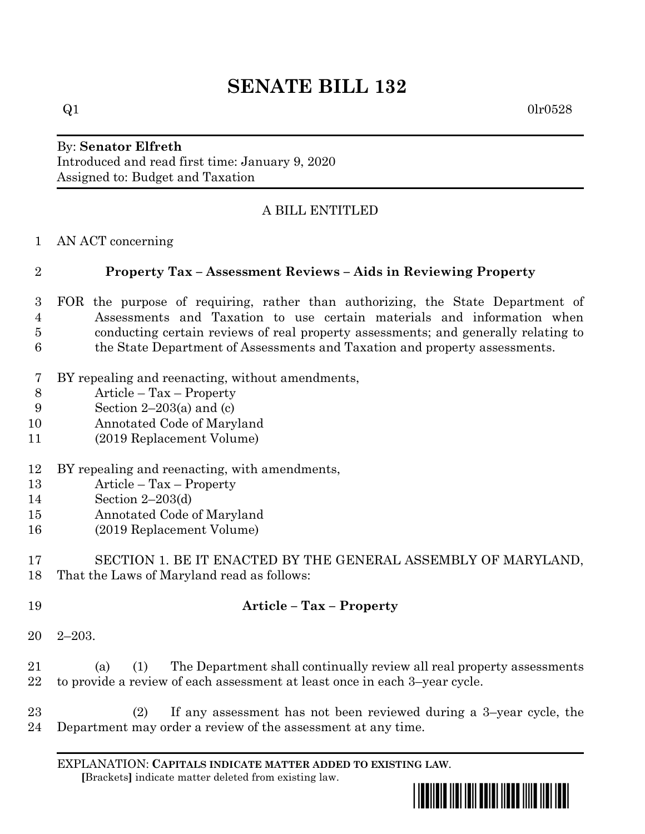# **SENATE BILL 132**

#### By: **Senator Elfreth** Introduced and read first time: January 9, 2020 Assigned to: Budget and Taxation

# A BILL ENTITLED

AN ACT concerning

### **Property Tax – Assessment Reviews – Aids in Reviewing Property**

- FOR the purpose of requiring, rather than authorizing, the State Department of Assessments and Taxation to use certain materials and information when conducting certain reviews of real property assessments; and generally relating to the State Department of Assessments and Taxation and property assessments.
- BY repealing and reenacting, without amendments,
- Article Tax Property
- Section 2–203(a) and (c)
- Annotated Code of Maryland
- (2019 Replacement Volume)
- BY repealing and reenacting, with amendments,
- Article Tax Property
- Section 2–203(d)
- Annotated Code of Maryland
- (2019 Replacement Volume)

# SECTION 1. BE IT ENACTED BY THE GENERAL ASSEMBLY OF MARYLAND, That the Laws of Maryland read as follows:

- **Article – Tax – Property**
- 2–203.

 (a) (1) The Department shall continually review all real property assessments to provide a review of each assessment at least once in each 3–year cycle.

 (2) If any assessment has not been reviewed during a 3–year cycle, the Department may order a review of the assessment at any time.

EXPLANATION: **CAPITALS INDICATE MATTER ADDED TO EXISTING LAW**.  **[**Brackets**]** indicate matter deleted from existing law.

 $\Omega$ 1 0lr0528